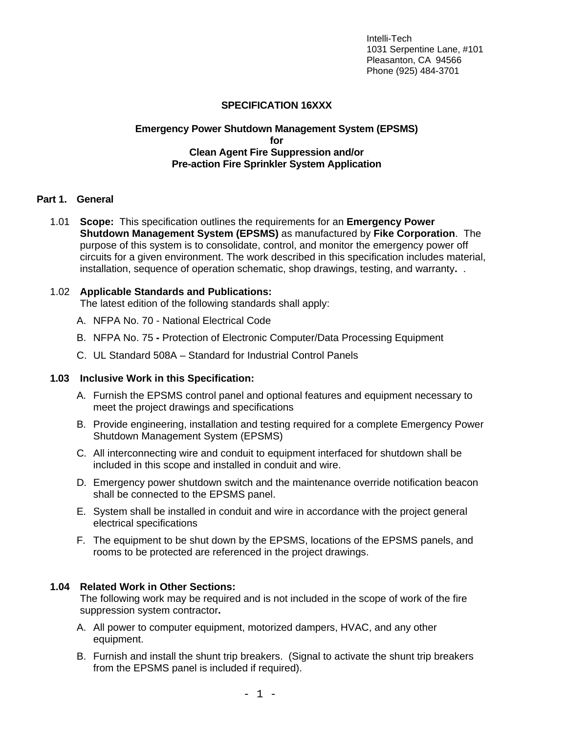# **SPECIFICATION 16XXX**

#### **Emergency Power Shutdown Management System (EPSMS) for Clean Agent Fire Suppression and/or Pre-action Fire Sprinkler System Application**

#### **Part 1. General**

1.01 **Scope:** This specification outlines the requirements for an **Emergency Power Shutdown Management System (EPSMS)** as manufactured by **Fike Corporation**. The purpose of this system is to consolidate, control, and monitor the emergency power off circuits for a given environment. The work described in this specification includes material, installation, sequence of operation schematic, shop drawings, testing, and warranty**.** .

#### 1.02 **Applicable Standards and Publications:**

The latest edition of the following standards shall apply:

- A. NFPA No. 70 National Electrical Code
- B. NFPA No. 75 Protection of Electronic Computer/Data Processing Equipment
- C. UL Standard 508A Standard for Industrial Control Panels

#### **1.03 Inclusive Work in this Specification:**

- A. Furnish the EPSMS control panel and optional features and equipment necessary to meet the project drawings and specifications
- B. Provide engineering, installation and testing required for a complete Emergency Power Shutdown Management System (EPSMS)
- C. All interconnecting wire and conduit to equipment interfaced for shutdown shall be included in this scope and installed in conduit and wire.
- D. Emergency power shutdown switch and the maintenance override notification beacon shall be connected to the EPSMS panel.
- E. System shall be installed in conduit and wire in accordance with the project general electrical specifications
- F. The equipment to be shut down by the EPSMS, locations of the EPSMS panels, and rooms to be protected are referenced in the project drawings.

# **1.04 Related Work in Other Sections:**

The following work may be required and is not included in the scope of work of the fire suppression system contractor**.** 

- A. All power to computer equipment, motorized dampers, HVAC, and any other equipment.
- B. Furnish and install the shunt trip breakers. (Signal to activate the shunt trip breakers from the EPSMS panel is included if required).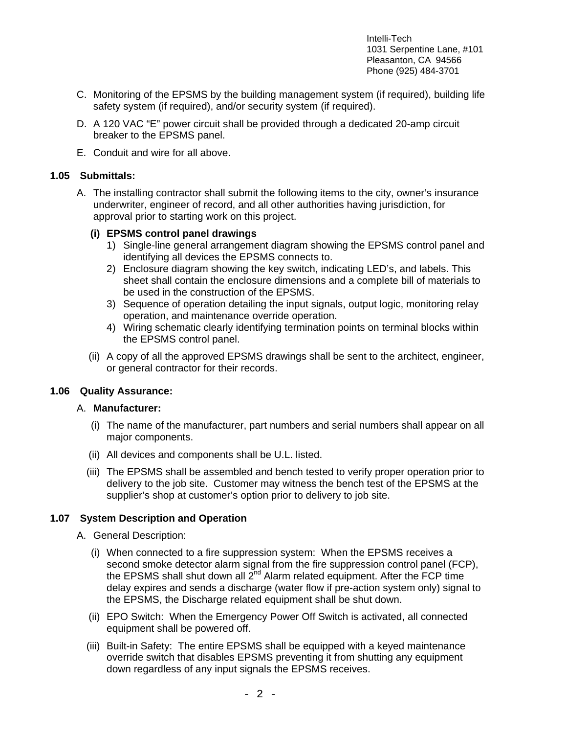- C. Monitoring of the EPSMS by the building management system (if required), building life safety system (if required), and/or security system (if required).
- D. A 120 VAC "E" power circuit shall be provided through a dedicated 20-amp circuit breaker to the EPSMS panel.
- E. Conduit and wire for all above.

#### **1.05 Submittals:**

A. The installing contractor shall submit the following items to the city, owner's insurance underwriter, engineer of record, and all other authorities having jurisdiction, for approval prior to starting work on this project.

#### **(i) EPSMS control panel drawings**

- 1) Single-line general arrangement diagram showing the EPSMS control panel and identifying all devices the EPSMS connects to.
- 2) Enclosure diagram showing the key switch, indicating LED's, and labels. This sheet shall contain the enclosure dimensions and a complete bill of materials to be used in the construction of the EPSMS.
- 3) Sequence of operation detailing the input signals, output logic, monitoring relay operation, and maintenance override operation.
- 4) Wiring schematic clearly identifying termination points on terminal blocks within the EPSMS control panel.
- (ii) A copy of all the approved EPSMS drawings shall be sent to the architect, engineer, or general contractor for their records.

# **1.06 Quality Assurance:**

#### A. **Manufacturer:**

- (i) The name of the manufacturer, part numbers and serial numbers shall appear on all major components.
- (ii) All devices and components shall be U.L. listed.
- (iii) The EPSMS shall be assembled and bench tested to verify proper operation prior to delivery to the job site. Customer may witness the bench test of the EPSMS at the supplier's shop at customer's option prior to delivery to job site.

# **1.07 System Description and Operation**

- A. General Description:
	- (i) When connected to a fire suppression system: When the EPSMS receives a second smoke detector alarm signal from the fire suppression control panel (FCP), the EPSMS shall shut down all 2<sup>nd</sup> Alarm related equipment. After the FCP time delay expires and sends a discharge (water flow if pre-action system only) signal to the EPSMS, the Discharge related equipment shall be shut down.
	- (ii) EPO Switch: When the Emergency Power Off Switch is activated, all connected equipment shall be powered off.
	- (iii) Built-in Safety: The entire EPSMS shall be equipped with a keyed maintenance override switch that disables EPSMS preventing it from shutting any equipment down regardless of any input signals the EPSMS receives.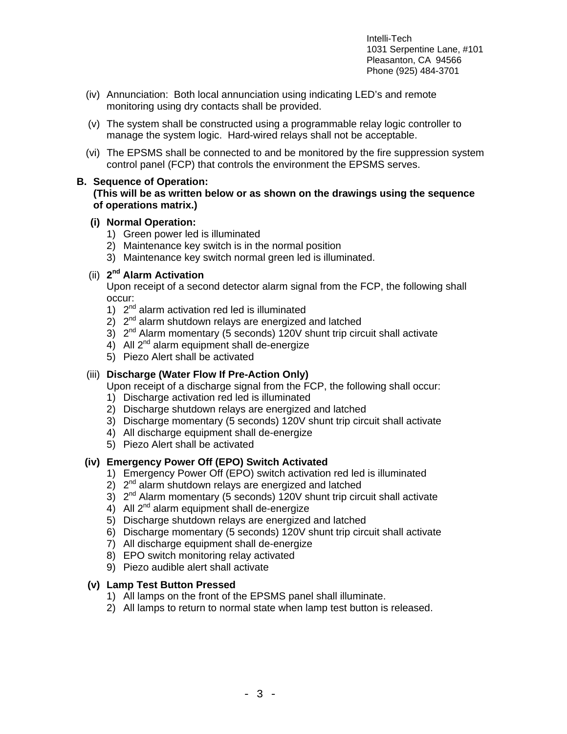- (iv) Annunciation: Both local annunciation using indicating LED's and remote monitoring using dry contacts shall be provided.
- (v) The system shall be constructed using a programmable relay logic controller to manage the system logic. Hard-wired relays shall not be acceptable.
- (vi) The EPSMS shall be connected to and be monitored by the fire suppression system control panel (FCP) that controls the environment the EPSMS serves.

#### **B. Sequence of Operation:**

## **(This will be as written below or as shown on the drawings using the sequence of operations matrix.)**

#### **(i) Normal Operation:**

- 1) Green power led is illuminated
- 2) Maintenance key switch is in the normal position
- 3) Maintenance key switch normal green led is illuminated.

# (ii) **2nd Alarm Activation**

Upon receipt of a second detector alarm signal from the FCP, the following shall occur:

- 1) 2<sup>nd</sup> alarm activation red led is illuminated
- $2)$   $2<sup>nd</sup>$  alarm shutdown relays are energized and latched
- 3)  $2^{nd}$  Alarm momentary (5 seconds) 120V shunt trip circuit shall activate
- 4) All  $2^{nd}$  alarm equipment shall de-energize
- 5) Piezo Alert shall be activated

# (iii) **Discharge (Water Flow If Pre-Action Only)**

Upon receipt of a discharge signal from the FCP, the following shall occur:

- 1) Discharge activation red led is illuminated
- 2) Discharge shutdown relays are energized and latched
- 3) Discharge momentary (5 seconds) 120V shunt trip circuit shall activate
- 4) All discharge equipment shall de-energize
- 5) Piezo Alert shall be activated

# **(iv) Emergency Power Off (EPO) Switch Activated**

- 1) Emergency Power Off (EPO) switch activation red led is illuminated
- 2)  $2<sup>nd</sup>$  alarm shutdown relays are energized and latched
- 3) 2nd Alarm momentary (5 seconds) 120V shunt trip circuit shall activate
- 4) All 2<sup>nd</sup> alarm equipment shall de-energize
- 5) Discharge shutdown relays are energized and latched
- 6) Discharge momentary (5 seconds) 120V shunt trip circuit shall activate
- 7) All discharge equipment shall de-energize
- 8) EPO switch monitoring relay activated
- 9) Piezo audible alert shall activate

# **(v) Lamp Test Button Pressed**

- 1) All lamps on the front of the EPSMS panel shall illuminate.
- 2) All lamps to return to normal state when lamp test button is released.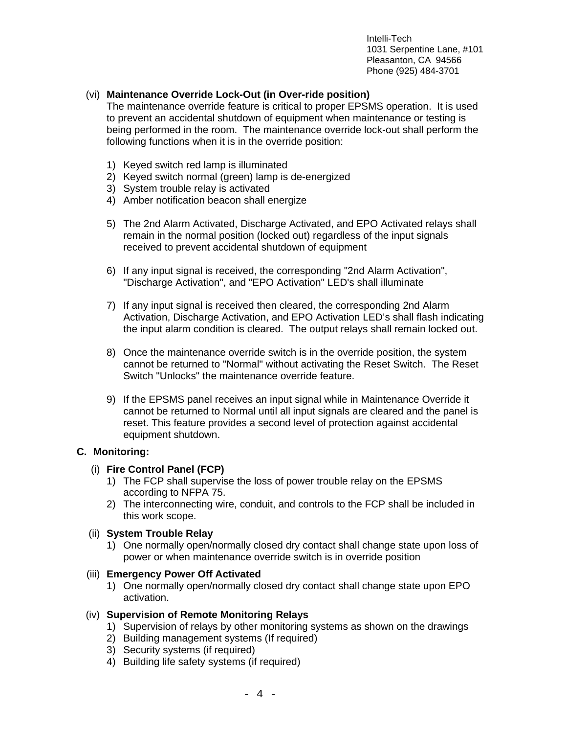# (vi) **Maintenance Override Lock-Out (in Over-ride position)**

The maintenance override feature is critical to proper EPSMS operation. It is used to prevent an accidental shutdown of equipment when maintenance or testing is being performed in the room. The maintenance override lock-out shall perform the following functions when it is in the override position:

- 1) Keyed switch red lamp is illuminated
- 2) Keyed switch normal (green) lamp is de-energized
- 3) System trouble relay is activated
- 4) Amber notification beacon shall energize
- 5) The 2nd Alarm Activated, Discharge Activated, and EPO Activated relays shall remain in the normal position (locked out) regardless of the input signals received to prevent accidental shutdown of equipment
- 6) If any input signal is received, the corresponding "2nd Alarm Activation", "Discharge Activation", and "EPO Activation" LED's shall illuminate
- 7) If any input signal is received then cleared, the corresponding 2nd Alarm Activation, Discharge Activation, and EPO Activation LED's shall flash indicating the input alarm condition is cleared. The output relays shall remain locked out.
- 8) Once the maintenance override switch is in the override position, the system cannot be returned to "Normal" without activating the Reset Switch. The Reset Switch "Unlocks" the maintenance override feature.
- 9) If the EPSMS panel receives an input signal while in Maintenance Override it cannot be returned to Normal until all input signals are cleared and the panel is reset. This feature provides a second level of protection against accidental equipment shutdown.

# **C. Monitoring:**

# (i) **Fire Control Panel (FCP)**

- 1) The FCP shall supervise the loss of power trouble relay on the EPSMS according to NFPA 75.
- 2) The interconnecting wire, conduit, and controls to the FCP shall be included in this work scope.

#### (ii) **System Trouble Relay**

1) One normally open/normally closed dry contact shall change state upon loss of power or when maintenance override switch is in override position

#### (iii) **Emergency Power Off Activated**

1) One normally open/normally closed dry contact shall change state upon EPO activation.

#### (iv) **Supervision of Remote Monitoring Relays**

- 1) Supervision of relays by other monitoring systems as shown on the drawings
- 2) Building management systems (If required)
- 3) Security systems (if required)
- 4) Building life safety systems (if required)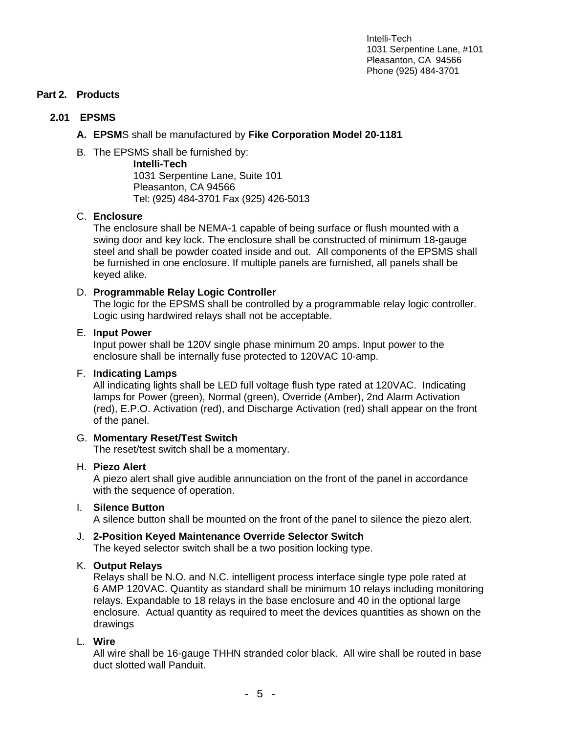# **Part 2. Products**

# **2.01 EPSMS**

# **A. EPSM**S shall be manufactured by **Fike Corporation Model 20-1181**

B. The EPSMS shall be furnished by:

 **Intelli-Tech** 1031 Serpentine Lane, Suite 101 Pleasanton, CA 94566 Tel: (925) 484-3701 Fax (925) 426-5013

# C. **Enclosure**

The enclosure shall be NEMA-1 capable of being surface or flush mounted with a swing door and key lock. The enclosure shall be constructed of minimum 18-gauge steel and shall be powder coated inside and out. All components of the EPSMS shall be furnished in one enclosure. If multiple panels are furnished, all panels shall be keyed alike.

# D. **Programmable Relay Logic Controller**

The logic for the EPSMS shall be controlled by a programmable relay logic controller. Logic using hardwired relays shall not be acceptable.

#### E. **Input Power**

Input power shall be 120V single phase minimum 20 amps. Input power to the enclosure shall be internally fuse protected to 120VAC 10-amp.

# F. **Indicating Lamps**

All indicating lights shall be LED full voltage flush type rated at 120VAC. Indicating lamps for Power (green), Normal (green), Override (Amber), 2nd Alarm Activation (red), E.P.O. Activation (red), and Discharge Activation (red) shall appear on the front of the panel.

# G. **Momentary Reset/Test Switch**

The reset/test switch shall be a momentary.

# H. **Piezo Alert**

A piezo alert shall give audible annunciation on the front of the panel in accordance with the sequence of operation.

# I. **Silence Button**

A silence button shall be mounted on the front of the panel to silence the piezo alert.

# J. **2-Position Keyed Maintenance Override Selector Switch**

The keyed selector switch shall be a two position locking type.

# K. **Output Relays**

Relays shall be N.O. and N.C. intelligent process interface single type pole rated at 6 AMP 120VAC. Quantity as standard shall be minimum 10 relays including monitoring relays. Expandable to 18 relays in the base enclosure and 40 in the optional large enclosure. Actual quantity as required to meet the devices quantities as shown on the drawings

# L. **Wire**

All wire shall be 16-gauge THHN stranded color black. All wire shall be routed in base duct slotted wall Panduit.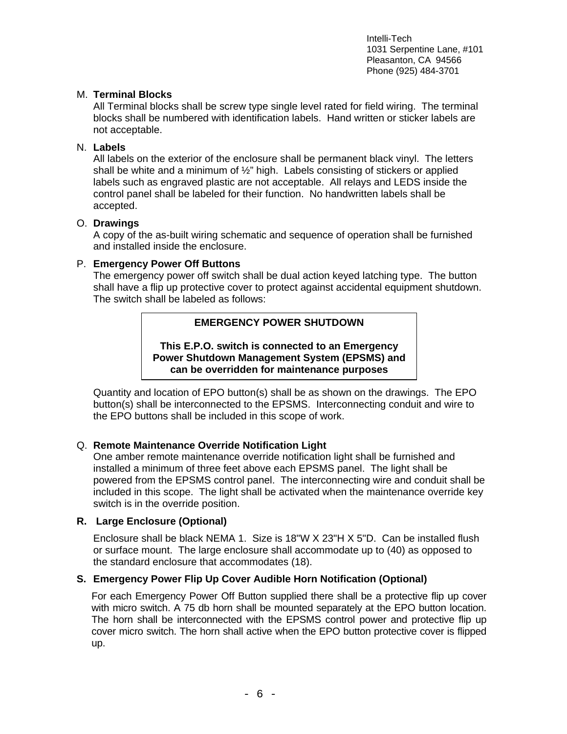## M. **Terminal Blocks**

All Terminal blocks shall be screw type single level rated for field wiring. The terminal blocks shall be numbered with identification labels. Hand written or sticker labels are not acceptable.

#### N. **Labels**

All labels on the exterior of the enclosure shall be permanent black vinyl. The letters shall be white and a minimum of ½" high. Labels consisting of stickers or applied labels such as engraved plastic are not acceptable. All relays and LEDS inside the control panel shall be labeled for their function. No handwritten labels shall be accepted.

#### O. **Drawings**

A copy of the as-built wiring schematic and sequence of operation shall be furnished and installed inside the enclosure.

#### P. **Emergency Power Off Buttons**

The emergency power off switch shall be dual action keyed latching type. The button shall have a flip up protective cover to protect against accidental equipment shutdown. The switch shall be labeled as follows:

# **EMERGENCY POWER SHUTDOWN**

**This E.P.O. switch is connected to an Emergency Power Shutdown Management System (EPSMS) and can be overridden for maintenance purposes** 

Quantity and location of EPO button(s) shall be as shown on the drawings. The EPO button(s) shall be interconnected to the EPSMS. Interconnecting conduit and wire to the EPO buttons shall be included in this scope of work.

#### Q. **Remote Maintenance Override Notification Light**

One amber remote maintenance override notification light shall be furnished and installed a minimum of three feet above each EPSMS panel. The light shall be powered from the EPSMS control panel. The interconnecting wire and conduit shall be included in this scope. The light shall be activated when the maintenance override key switch is in the override position.

#### **R. Large Enclosure (Optional)**

Enclosure shall be black NEMA 1. Size is 18"W X 23"H X 5"D. Can be installed flush or surface mount. The large enclosure shall accommodate up to (40) as opposed to the standard enclosure that accommodates (18).

#### **S. Emergency Power Flip Up Cover Audible Horn Notification (Optional)**

For each Emergency Power Off Button supplied there shall be a protective flip up cover with micro switch. A 75 db horn shall be mounted separately at the EPO button location. The horn shall be interconnected with the EPSMS control power and protective flip up cover micro switch. The horn shall active when the EPO button protective cover is flipped up.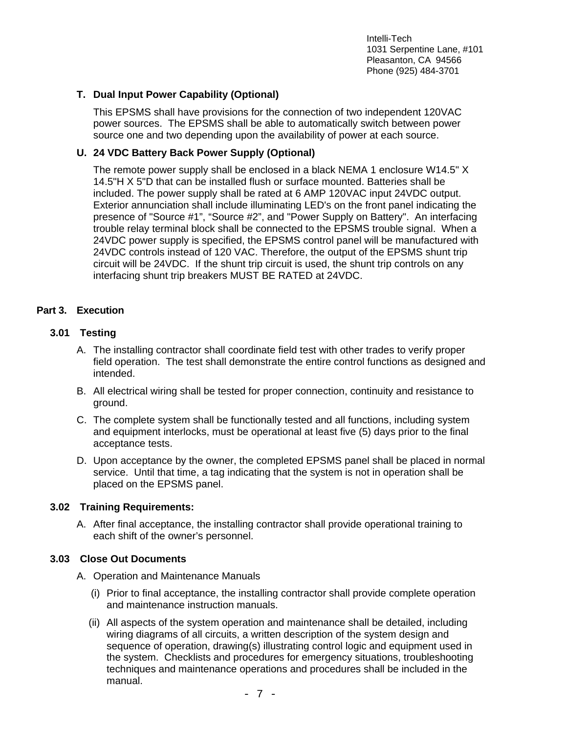# **T. Dual Input Power Capability (Optional)**

This EPSMS shall have provisions for the connection of two independent 120VAC power sources. The EPSMS shall be able to automatically switch between power source one and two depending upon the availability of power at each source.

# **U. 24 VDC Battery Back Power Supply (Optional)**

The remote power supply shall be enclosed in a black NEMA 1 enclosure W14.5" X 14.5"H X 5"D that can be installed flush or surface mounted. Batteries shall be included. The power supply shall be rated at 6 AMP 120VAC input 24VDC output. Exterior annunciation shall include illuminating LED's on the front panel indicating the presence of "Source #1", "Source #2", and "Power Supply on Battery". An interfacing trouble relay terminal block shall be connected to the EPSMS trouble signal. When a 24VDC power supply is specified, the EPSMS control panel will be manufactured with 24VDC controls instead of 120 VAC. Therefore, the output of the EPSMS shunt trip circuit will be 24VDC. If the shunt trip circuit is used, the shunt trip controls on any interfacing shunt trip breakers MUST BE RATED at 24VDC.

# **Part 3. Execution**

#### **3.01 Testing**

- A. The installing contractor shall coordinate field test with other trades to verify proper field operation. The test shall demonstrate the entire control functions as designed and intended.
- B. All electrical wiring shall be tested for proper connection, continuity and resistance to ground.
- C. The complete system shall be functionally tested and all functions, including system and equipment interlocks, must be operational at least five (5) days prior to the final acceptance tests.
- D. Upon acceptance by the owner, the completed EPSMS panel shall be placed in normal service. Until that time, a tag indicating that the system is not in operation shall be placed on the EPSMS panel.

#### **3.02 Training Requirements:**

A. After final acceptance, the installing contractor shall provide operational training to each shift of the owner's personnel.

#### **3.03 Close Out Documents**

- A. Operation and Maintenance Manuals
	- (i) Prior to final acceptance, the installing contractor shall provide complete operation and maintenance instruction manuals.
	- (ii) All aspects of the system operation and maintenance shall be detailed, including wiring diagrams of all circuits, a written description of the system design and sequence of operation, drawing(s) illustrating control logic and equipment used in the system. Checklists and procedures for emergency situations, troubleshooting techniques and maintenance operations and procedures shall be included in the manual.